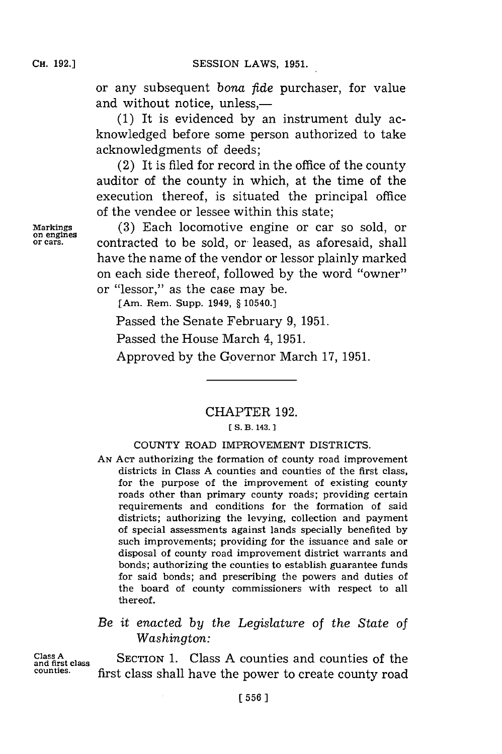or any subsequent *bona ftde* purchaser, for value and without notice, unless.—

**(1)** It is evidenced **by** an instrument duly acknowledged before some person authorized to take acknowledgments of deeds;

(2) It is filed for record in the office of the county auditor of the county in which, at the time of the execution thereof, is situated the principal office of the vendee or lessee within this state;

Markings **(3)** Each locomotive engine or car so sold, or contracted to be sold, or leased, as aforesaid, shall have the name of the vendor or lessor plainly marked on each side thereof, followed **by** the word "owner" or "lessor," as the case may be.

[Am. Rem. Supp. 1949, **§** 10540.]

Passed the Senate February **9, 1951.**

Passed the House March 4, 1951.

Approved **by** the Governor March **17, 1951.**

CHAPTER **192.**

## **[ S. B. 143.**

## **COUNTY** ROAD IMPROVEMENT DISTRICTS.

**AN ACT** authorizing the formation of county road improvement districts in Class **A** counties and counties of the first class, for the purpose of the improvement of existing county roads other than primary county roads; providing certain requirements and conditions for the formation of said districts; authorizing the levying, collection and payment of special assessments against lands specially benefited **by** such improvements; providing for the issuance and sale or disposal of county road improvement district warrants and bonds; authorizing the counties to establish guarantee funds for said bonds; and prescribing the powers and duties of the board of county commissioners with respect to all thereof.

# *Be it enacted by the Legislature of the State of Washington:*

Class A<sub>spece</sub> Class **A** SECTION 1. Class A counties and counties of the and first class **SECTION** 1. Class A counties and counties of the first class shall have the power to create county road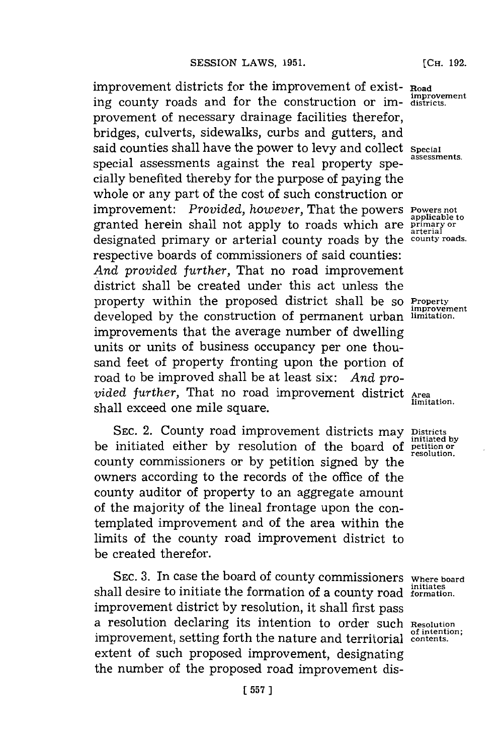improvement districts for the improvement of exist- **Road** ing county roads and for the construction or IM- **districts.** provement of necessary drainage facilities therefor, bridges, culverts, sidewalks, curbs and gutters, and said counties shall have the power to levy and collect **Special** special assessments against the real property specially benefited thereby for the purpose of paying the whole or any part of the cost of such construction or improvement: *Provided, however,* That the powers **Powers not**<br>muscle **Provided**,  $\frac{1}{2}$ granted herein shall not apply to roads which are **primary or arterial** designated primary or arterial county roads **by** the **county roads.** respective boards of commissioners of said counties: *And provided further,* That no road improvement district shall be created under this act unless the property within the proposed district shall be **So Property** developed **by** the construction of permanent urban **limitation.** improvements that the average number of dwelling units or units of business occupancy per one thousand feet of property fronting upon the portion of road to be improved shall be at least six: *And pro*vided further, That no road improvement district Area<br>limitation. shall exceed one mile square.

SEC. 2. County road improvement districts may **Districts** by be initiated either by resolution of the board of **petition** or county commissioners or by petition signed by the owners according to the records of the office of the county auditor of property to an aggregate amount of the majority of the lineal frontage upon the contemplated improvement and of the area within the limits of the county road improvement district to be created therefor.

**SEC. 3.** In case the board of county commissioners **Where board** shall desire to initiate the formation of a county road *initiates* improvement district **by** resolution, it shall first pass a resolution declaring its intention to order such **Resolution** improvement, setting forth the nature and territorial contents. extent of such proposed improvement, designating the number of the proposed road improvement dis-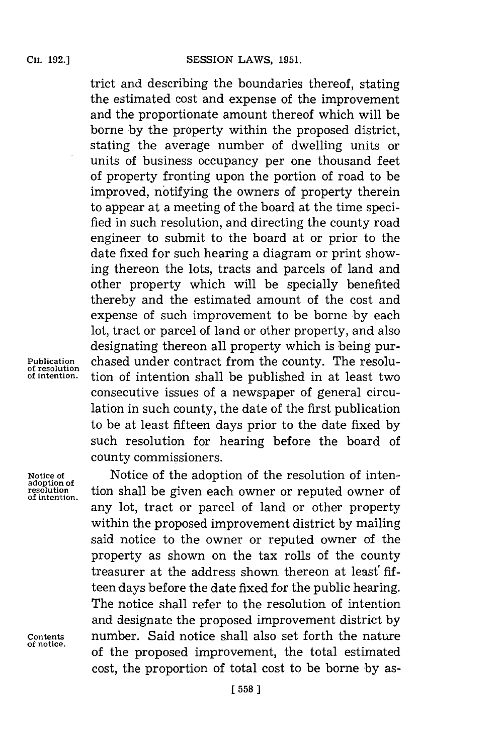trict and describing the boundaries thereof, stating the estimated cost and expense of the improvement and the proportionate amount thereof which will be borne **by** the property within the proposed district, stating the average number of dwelling units or units of business occupancy per one thousand feet of property fronting upon the portion of road to be improved, notifying the owners of property therein to appear at a meeting of the board at the time specified in such resolution, and directing the county road engineer to submit to the board at or prior to the date fixed **for** such hearing a diagram or print showing thereon the lots, tracts and parcels of land and other property which will be specially benefited thereby and the estimated amount of the cost and expense of such improvement to be borne **by** each lot, tract or parcel of land or other property, and also designating thereon all property which is being pur-**Publication** chased under contract from the county. The resolu**of intention.** tion of intention shall be published in at least two consecutive issues of a newspaper of general circulation in such county, the date of the first publication to be at least fifteen days prior to the date fixed **by** such resolution for hearing before the board of county commissioners.

**of resolution**

**of intention.**

**of notice.**

**Notice of Notice of the adoption of the resolution of inten-**<br> **Notice of the adoption of the resolution**<br> **A** resolution shall be given each owner or reputed owner of tion shall be given each owner or reputed owner of any lot, tract or parcel of land or other property within the proposed improvement district **by** mailing said notice to the owner or reputed owner of the property as shown on the tax rolls of the county treasurer at the address shown thereon at least' **fif**teen days before the date fixed for the public hearing. The notice shall refer to the resolution of intention and designate the proposed improvement district **by Contents** number. Said notice shall also set forth the nature of the proposed improvement, the total estimated cost, the proportion of total cost to be borne **by** as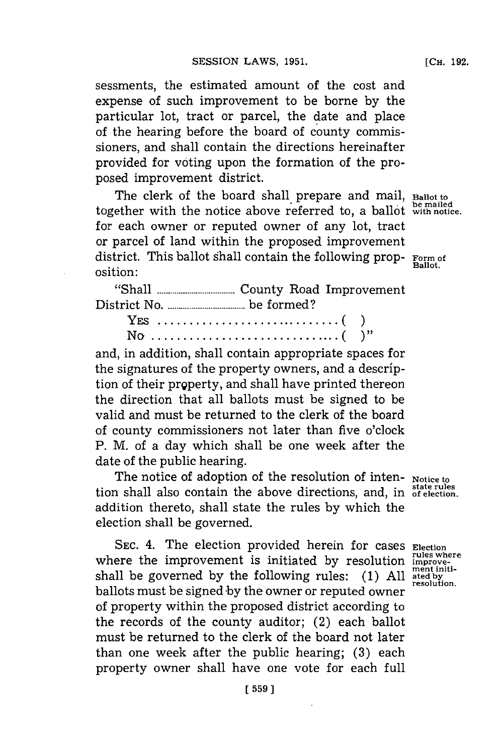sessments, the estimated amount of the cost and expense of such improvement to be borne **by** the particular lot, tract or parcel, the date and place of the hearing before the board of county commis-

sioners, and shall contain the directions hereinafter provided for voting upon the formation of the proposed improvement district.

The clerk of the board shall prepare and mail, **Ballot to** together with the notice above referred to, a ballot **with notice.** for each owner or reputed owner of any lot, tract or parcel of land within the proposed improvement district. This ballot shall contain the following prop- **Form of** osition:

**"Shall........................** County Road Improvement District No **...................be** formed?

and, in addition, shall contain appropriate spaces for the signatures of the property owners, and a description of their prgperty, and shall have printed thereon the direction that all ballots must be signed to be valid and must be returned to the clerk of the board of county commissioners not later than five o'clock P. M. of a day which shall be one week after the date of the public hearing.

The notice of adoption of the resolution of inten- **Notice to state rules** tion shall also contain the above directions, and, in **of election.** addition thereto, shall state the rules **by** which the election shall be governed.

SEC. 4. The election provided herein for cases Election where the improvement is initiated by resolution **improve**shall be governed by the following rules: **(1)** All ated by resolution. ballots must be signed by the owner or reputed owner of property within the proposed district according to the records of the county auditor; (2) each ballot must be returned to the clerk of the board not later than one week after the public hearing; **(3)** each property owner shall have one vote for each full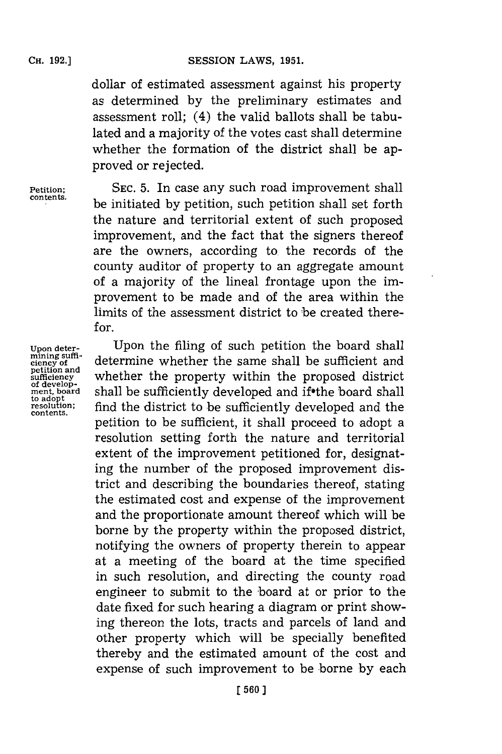dollar of estimated assessment against his property as determined **by** the preliminary estimates and assessment roll; (4) the valid ballots shall be tabulated and a majority of the votes cast shall determine whether the formation of the district shall be approved or rejected.

**Petition; SEC. 5.** In case any such road improvement shall **contents.** be initiated **by** petition, such petition shall set forth the nature and territorial extent of such proposed improvement, and the fact that the signers thereof are the owners, according to. the records of the county auditor of property to an aggregate amount of a majority of the lineal frontage upon the improvement to be made and of the area within the limits of the assessment district to be created there $for$ 

**mining suffipetition**<br>**petition** and<br>**sufficiency contents.**

**Upon deter-** Upon the filing of such petition the board shall **ciency of** determine whether the same shall be sufficient and **sufficiency** whether the property within the proposed district of develop**of developed and if the board shall be sufficiently developed and if the board shall<br>teadopt condition:** find the district to be sufficiently developed and the find the district to be sufficiently developed and the petition to be sufficient, it shall proceed to adopt a resolution setting forth the nature and territorial extent of the improvement petitioned for, designating the number of the proposed improvement district and describing the boundaries thereof, stating the estimated cost and expense of the improvement and the proportionate amount thereof which will be borne **by** the property within the proposed district, notifying the owners of property therein to appear at a meeting of the board at the time specified in such resolution, and directing the county road engineer to submit to the board at or prior to the date fixed for such hearing a diagram or print showing thereon the lots, tracts and parcels of land and other property which will be specially benefited thereby and the estimated amount of the cost and expense of such improvement to be borne **by** each

**[ 560J1**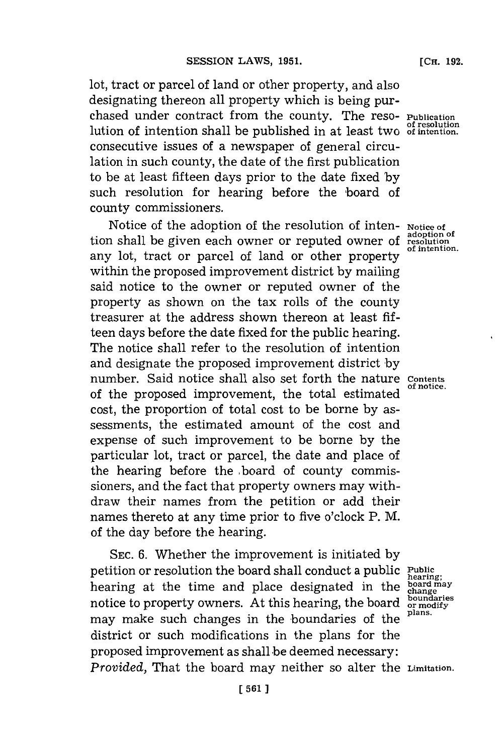lot, tract or parcel of land or other property, and also designating thereon all property which is being purchased under contract from the county. The reso- **Publication** lution of intention shall be published in at least two of intention. consecutive issues of a newspaper of general circulation in such county, the date of the first publication to be at least **fifteen** days prior to the date fixed **by** such resolution for hearing before the board of county commissioners.

Notice of the adoption of the resolution of inten- **Notice of** tion shall be given each owner or reputed owner of **resolution**, any lot, tract or parcel of land or other property within the proposed improvement district **by** mailing said notice to the owner or reputed owner of the property as shown on the tax rolls of the county treasurer at the address shown thereon at least **fif**teen days before the date fixed for the public hearing. The notice shall refer to the resolution of intention and designate the proposed improvement district **by** number. Said notice shall also set forth the nature contents of the proposed improvement, the total estimated cost, the proportion of total cost to be borne **by** assessments, the estimated amount of the cost and expense of such improvement to be borne **by** the particular lot, tract or parcel, the date and place of the hearing before the board of county commissioners, and the fact that property owners may withdraw their names from the petition or add their names thereto at any time prior to five o'clock P. M. of the day before the hearing.

**SEC. 6.** Whether the improvement is initiated **by** petition or resolution the board shall conduct a public **Public** hearing at the time and place designated in the **board may** notice to property owners. At this hearing, the board poundaries may make such changes in the boundaries of the district or such modifications in the plans for the proposed improvement as shall be deemed necessary: *Provided,* That the board may neither so alter the **Limitation.**

**hearing;**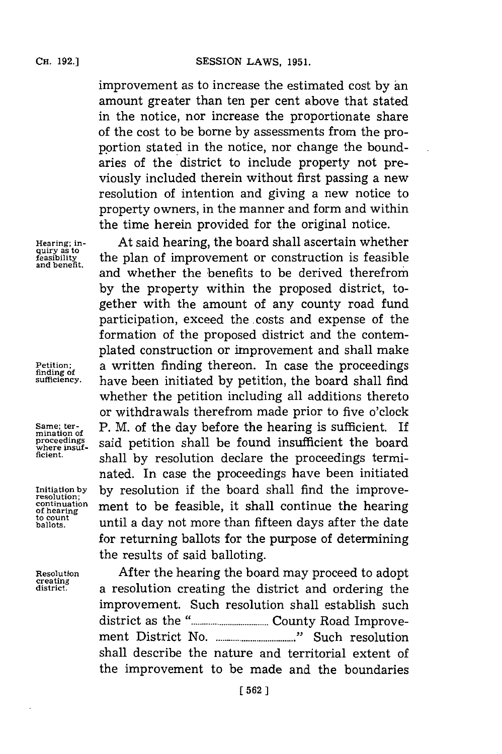improvement as to increase the estimated cost by an amount greater than ten per cent above that stated in the notice, nor increase the proportionate share of the cost to be borne **by** assessments from the proportion stated in the notice, nor change the boundaries of the district to include property not previously included therein without first passing a new resolution of intention and giving a new notice to property owners, in the manner and form and within the time herein provided for the original notice.

**Hearing; in-** At said hearing, the board shall ascertain whether the plan of improvement or construction is feasible and whether the benefits to be derived therefrom **by** the property within the proposed district, together with the amount of any county road fund participation, exceed the costs and expense of the formation of the proposed district and the contemplated construction or improvement and shall make Petition; a written finding thereon. In case the proceedings funding of **property** sufficiency, have been initiated by petition the board shall find **sufficiency.** have been initiated **by** petition, the board shall find whether the petition including all additions thereto or withdrawals therefrom made prior to five o'clock **Same; ter-** P. M. of the day before the hearing is sufficient. If proceedings<sub>,</sub> said petition shall be found insufficient the board **ficient,** shall **by** resolution declare the proceedings terminated. In case the proceedings have been initiated **Initiation by by** resolution if the board shall find the improve- **resolution;** continuation ment to be feasible, it shall continue the hearing **ballots,** until a day not more than fifteen days after the date for returning ballots for the purpose of determining the results of said balloting.

**Resolution** After the hearing the board may proceed to adopt **district,** a resolution creating the district and ordering the improvement. Such resolution shall establish such district as the **......................** County Road Improvement District No **.......................... "** Such resolution shall describe the nature and territorial extent of the improvement to be made and the boundaries

**quiry as to**

**mination of**

**to count**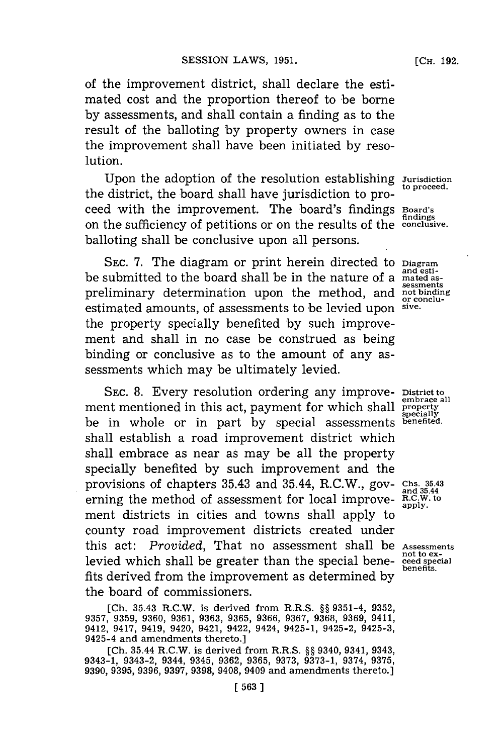**[CH. 192.**

of the improvement district, shall declare the estimated cost and the proportion thereof to be borne **by** assessments, and shall contain a finding as to the result of the balloting **by** property owners in case the improvement shall have been initiated **by** resolution.

Upon the adoption of the resolution establishing *Jurisdiction* to proceed. the district, the board shall have jurisdiction to proceed with the improvement. The board's findings **Board's** on the sufficiency of petitions or on the results of the **conclusive**. balloting shall be conclusive upon all persons.

**SEC. 7.** The diagram or print herein directed to **Diagram** be submitted to the board shall be in the nature of a **mated as-** preliminary determination upon the method, and not binding estimated amounts of assessments to be levied upon sive. estimated amounts, of assessments to be levied upon **sive.** the property specially benefited **by** such improvement and shall in no case be construed as being binding or conclusive as to the amount of any assessments which may be ultimately levied.

**SEC. 8.** Every resolution ordering any improve- **District to** ment mentioned in this act, payment for which shall be in whole or in part **by** special assessments **benefited.** shall establish a road improvement district which shall embrace as near as may be all the property specially benefited **by** such improvement and the provisions of chapters 35.43 and 35.44, R.C.W., gov- **Chs. 35.443** erning the method of assessment for local improvement districts in cities and towns shall apply to county road improvement districts created under this act: *Provided*, That no assessment shall be *Assessments* notio ex**not to ex-** levied which shall be greater than the special bene- **ceed special** fits derived from the improvement as determined **by** the board of commissioners.

**[Ch. 35.43 R.C.W.** is derived from R.R.S. **§§ 9351-4, 9352, 9357, 9359, 9360, 9361, 9363, 9365, 9366, 9367, 9368, 9369,** 9411, 9412, 9417, 9419, 9420, 9421, 9422, 9424, 9425-1, 9425-2, 9425-3, 9425-4 and amendments thereto.]

**[Ch. 35.44** R.C.W. is derived from R.R.S. **§§ 9340, 9341, 9343, 9343-1, 9343-2, 9344, 9345, 9362, 9365, 9373, 9373-1, 9374, 9375, 9390, 9395, 9396, 9397, 9398, 9408, 9409** and amendments thereto.]

**findig**

**embrace all specially**

**benefits.**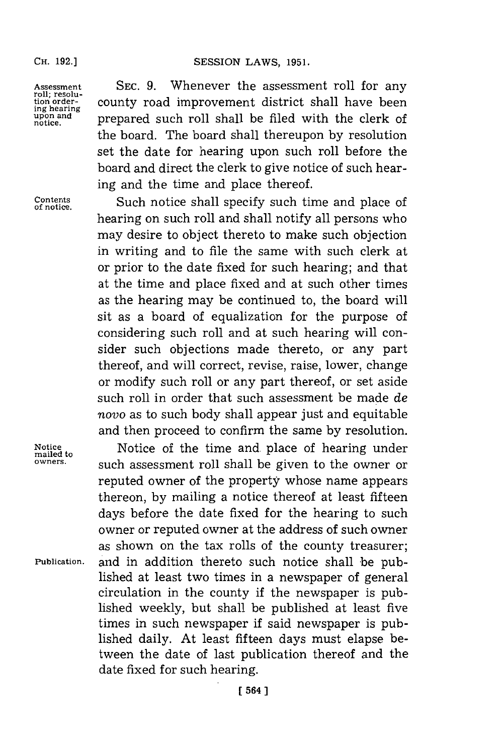Assessment SEC. 9. Whenever the assessment roll for any roll; resolu-<br>tion order-<br>ing hearing county road improvement district shall have been<br>upon and prepared such roll shall be filed with the clerk of county road improvement district shall have been upon and **prepared** such roll shall be filed with the clerk of the board. The board shall thereupon **by** resolution set the date for hearing upon such roll before the board and direct the clerk to give notice of such hearing and the time and place thereof.

Contents **Such notice shall specify such time and place of notice.** hearing on such roll and shall notify all persons who may desire to object thereto to make such objection in writing and to file the same with such clerk at or prior to the date fixed for such hearing; and that at the time and place fixed and at such other times as the hearing may be continued to, the board will sit as a board of equalization for the purpose of considering such roll and at such hearing will consider such objections made thereto, or any part thereof, and will correct, revise, raise, lower, change or modify such roll or any part thereof, or set aside such roll in order that such assessment be made de novo as to such body shall appear just and equitable and then proceed to confirm the same **by** resolution.

Notice **Notice** of the time and place of hearing under mailed to  $\frac{1}{2}$  over  $\frac{1}{2}$  and  $\frac{1}{2}$  are  $\frac{1}{2}$  and  $\frac{1}{2}$  are  $\frac{1}{2}$  and  $\frac{1}{2}$  are  $\frac{1}{2}$  and  $\frac{1}{2}$  are  $\frac{1}{2}$  and  $\frac{1}{2}$  are  $\$ such assessment roll shall be given to the owner or reputed owner of the property whose name appears thereon, **by** mailing a notice thereof at least fifteen days before the date fixed for the hearing to such owner or reputed owner at the address of such owner as shown on the tax rolls of the county treasurer; **Publication,** and in addition thereto such notice shall 'be published at least two times in a newspaper of general circulation in the county if the newspaper is published weekly, but shall be published at least five times in such newspaper if said newspaper is published daily. At least fifteen days must elapse between the date of last publication thereof and the date fixed for such hearing.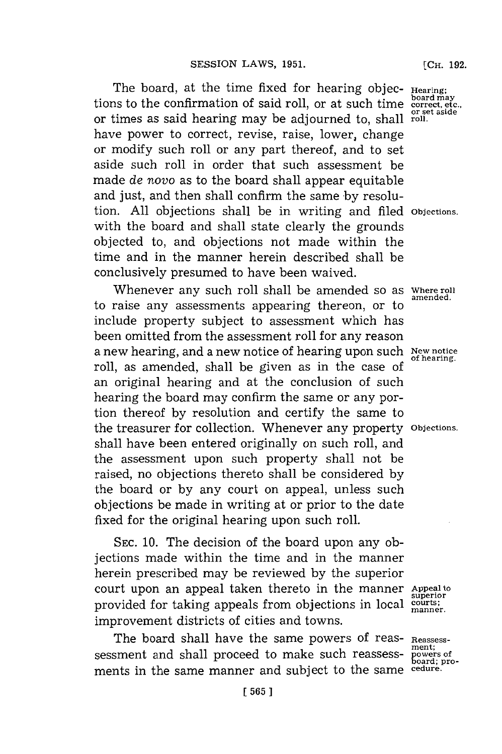The board, at the time fixed for hearing objec- Hearing; tions to the confirmation of said roll, or at such time **correct, etc., or set aside** or times as said hearing may be adjourned to, shall **roll.** have power to correct, revise, raise, lower, change or modify such roll or any part thereof, and to set aside such roll in order that such assessment be made *de* novo as to the board shall appear equitable and just, and then shall confirm the same **by** resolution. **All** objections shall be in writing and filed **Objections.** with the board and shall state clearly the grounds objected to, and objections not made within the time and in the manner herein described shall be conclusively presumed to have been waived.

Whenever any such roll shall be amended so as *Where roll* to raise any assessments appearing thereon, or to include property subject to assessment which has been omitted from the assessment roll **for** any reason a new hearing, and a new notice of hearing upon such New notice roll, as amended, shall be given as in the case of an original hearing and at the conclusion of such hearing the board may confirm the same or any portion thereof **by** resolution and certify the same to the treasurer for collection. Whenever any property **Objections.** shall have been entered originally on such roll, and the assessment upon such property shall not be raised, no objections thereto shall be considered **by** the board or **by** any court on appeal, unless such objections be made in writing at or prior to the date fixed for the original hearing upon such roll.

**SEC. 10.** The decision of the board upon any objections made within the time and in the manner herein prescribed may be reviewed **by** the superior court upon an appeal taken thereto in the manner **Appeal to** provided for taking appeals from objections in local **courts;** improvement districts of cities and towns.

The board shall have the same powers of reas- **Reassess**sessment and shall proceed to make such reassessments in the same manner and subject to the same

**[CH. 192.**

**amended.**

**superior manner.**

**ment; board; pro-**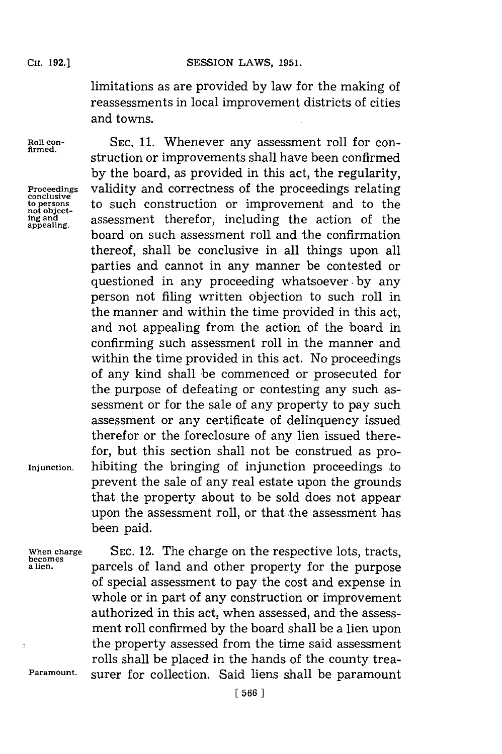limitations as are provided **by** law for the making of reassessments in local improvement districts of cities and towns.

**appealing.**

Roll con-<br>firmed, SEC. 11. Whenever any assessment roll for construction or improvements shall have been confirmed **by** the board, as provided in this act, the regularity, Proceedings validity and correctness of the proceedings relating to ensume to such construction or improvement and to the networking of the construction or improvement and to the to such construction or improvement and to the assessment therefor, including the action of the board on such assessment roll and the confirmation thereof, shall be conclusive in all things upon all parties and cannot in any manner be contested or questioned in any proceeding whatsoever **, by** any person not filing written objection to such roll in the manner and within the time provided in this act, and not appealing from the action of the 'board in confirming such assessment roll in the manner and within the time provided in this act. No proceedings of any kind shall be commenced or prosecuted for the purpose of defeating or contesting any such assessment or for the sale of any property to pay such assessment or any certificate of delinquency issued therefor or the foreclosure of any lien issued therefor, but this section shall not be construed as pro-**Injunction.** hibiting the bringing of injunction proceedings to prevent the sale of any real estate upon the grounds that the property about to be sold does not appear upon the assessment roll, or that the assessment has been paid.

 $\ddot{z}$ 

When charge SEC. 12. The charge on the respective lots, tracts, becomes<br>alien. **becomes** parcels of land and other property for the nurnose parcels of land and other property for the purpose of special assessment to pay the cost and expense in whole or in part of any construction or improvement authorized in this act, when assessed, and the assessment roll confirmed **by** the board shall be a lien upon the property assessed from the time said assessment rolls shall be placed in the hands of the county trea-**Paramount.** surer for collection. Said liens shall be paramount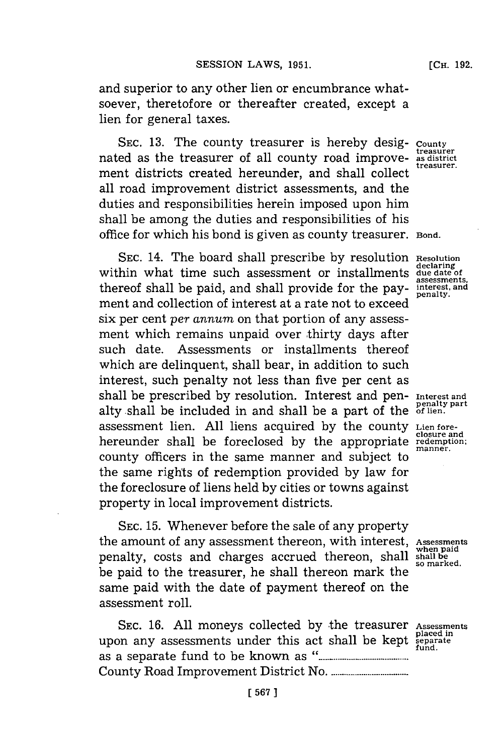and superior to any other lien or encumbrance whatsoever, theretofore or thereafter created, except a lien **for** general taxes.

SEC. 13. The county treasurer is hereby desig- **County** treasurer nated as the treasurer of all county road improve- as district<br>treasurer ment districts created hereunder, and shall collect all road improvement district assessments, and the duties and responsibilities herein imposed upon him shall be among the duties and responsibilities of his office **for** which his bond is given as county treasurer. **Bond.**

SEC. 14. The board shall prescribe by resolution Resolution within what time such assessment or installments due date of thereof shall be paid, and shall provide for the pay- interest, and ment and collection of interest at a rate not to exceed six per cent *per annum* on that portion of any assessment which remains unpaid over thirty days after such date. Assessments or installments thereof which are delinquent, shall bear, in addition to such interest, such penalty not less than five per cent as shall be prescribed **by** resolution. Interest and pen- **Interest and penalty part** alty shall be included in and shall be a part of the **of lien.** assessment lien. **All** liens acquired **by** the county **Lien foreclosure and** hereunder shall be foreclosed **by** the appropriate **redemption;** county officers in the same manner and subject to the same rights of redemption provided **by** law for the foreclosure of liens held **by** cities or towns against property in local improvement districts.

SEC. 15. Whenever before the sale of any property the amount of any assessment thereon, with interest, **Assessments when paid** penalty, costs and charges accrued thereon, shall **shall be so marked.** be paid to the treasurer, he shall thereon mark the same paid with the date of payment thereof on the assessment roll.

**SEC. 16. All** moneys collected **by** the treasurer **Assessments** upon any assessments under this act shall be kept as a separate fund to be known **as........... .............** County Road Improvement District No **.....................**

**manner.**

**placed in fund.**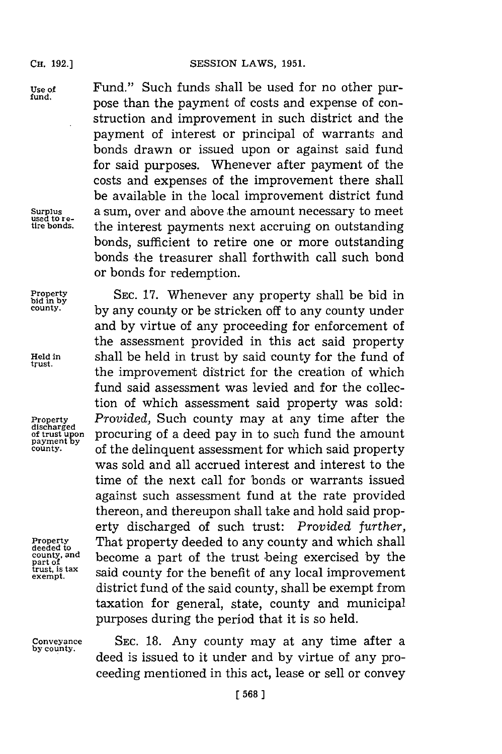discharged<br>of trust upon<br>payment by

**deeded to** part of<br>trust, is tax<br>exempt.

**by county.**

**Use of** Fund." Such funds shall be used for no other pur- **fund,** pose than the payment of costs and expense of construction and improvement in such district and the payment of interest or principal of warrants and bonds drawn or issued upon or against said fund for said purposes. Whenever after payment of the costs and expenses of the improvement there shall be available in the local improvement district fund **Surplus** a sum, over and above the amount necessary to meet **used to re- tire bonds,** the interest payments next accruing on outstanding bonds, sufficient to retire one or more outstanding bonds the treasurer shall forthwith call such bond or bonds for redemption.

**Property SEC. 17.** Whenever any property shall be bid in <sup>county.</sup> by any county or be stricken off to any county under and **by** virtue of any proceeding **for** enforcement of the assessment provided in this act said property **Held in** shall be held in trust **by** said county for the fund of the improvement district for the creation of which fund said assessment was levied and for the collection of which assessment said property was sold: **Property** *Provided,* Such county may at any time after the procuring of a deed pay in to such fund the amount *county.* of the delinquent assessment for which said property was sold and all accrued interest and interest to the time of the next call for bonds or warrants issued against such assessment fund at the rate provided thereon, and thereupon shall take and hold said property discharged of such trust: *Provided further,* **Property** That property deeded to any county and which shall **county, and become** a part **of** said county for the benefit of any local improvement district fund of the said county, shall be exempt from taxation for general, state, county and municipal purposes during the period that it is so held.

**Conveyance SEC. 18.** Any county may at any time after a deed is issued to it under and **by** virtue of any proceeding mentioned in this act, lease or sell or convey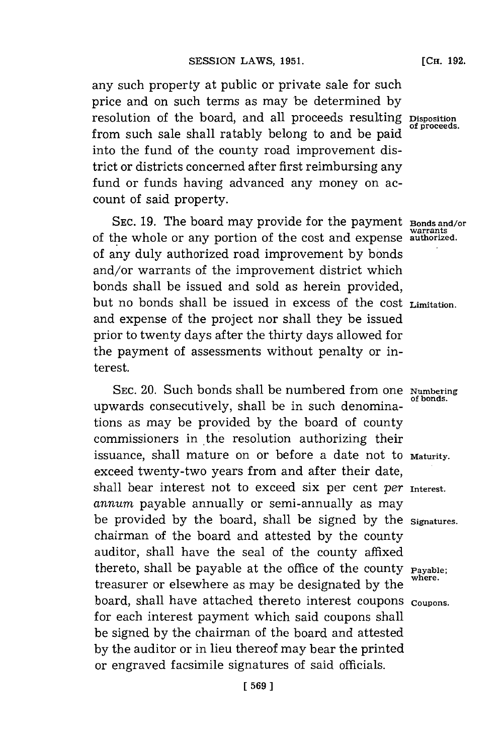any such property at public or private sale for such price and on such terms as may be determined **by** resolution of the board, and all proceeds resulting **Disposition** from such sale shall ratably belong to and be paid into the fund of the county road improvement district or districts concerned after first reimbursing any fund or funds having advanced any money on account of said property.

**SEC. 19.** The board may provide **for** the payment **Bonds and/or warrants** of the whole or any portion of the cost and expense **authorized.** of any duly authorized road improvement **by** bonds and/or warrants of the improvement district which bonds shall be issued and sold as herein provided, but no bonds shall be issued in excess of the Cost **Limitation.** and expense of the project nor shall they be issued prior to twenty days after the thirty days allowed for the payment of assessments without penalty or interest.

SEC. 20. Such bonds shall be numbered from one **Numbering** upwards consecutively, shall be in such denominations as may be provided **by** the board of county commissioners in the resolution authorizing their issuance, shall mature on or before a date not to Maturity. exceed twenty-two years from and after their date, shall bear interest not to exceed six per cent *per* Interest. *annum* payable annually or semi-annually as may be provided **by** the board, shall be signed **by** the **Signatures.** chairman of the board and attested **by** the county auditor, shall have the seal of the county affixed thereto, shall be payable at the office of the county **Payable**; treasurer or elsewhere as may be designated by the board, shall have attached thereto interest coupons **coupons.** for each interest payment which said coupons shall be signed **by** the chairman of the board and attested **by** the auditor or in lieu thereof may bear the printed or engraved facsimile signatures of said officials.

**[CH. 192.**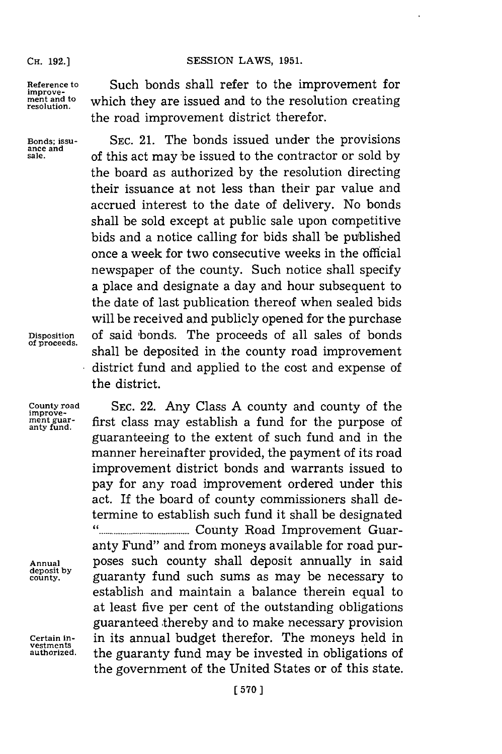**SESSION LAWS, 1951.** 

**improve-**

Reference to **Such bonds shall refer to the improvement for** ment and to which they are issued and to the resolution creating resolution. the road improvement district therefor.

**Bonds; issu- SEC.** 21. The bonds issued under the provisions **ance and sale,** of this act may 'be issued to the contractor or sold **by** the board as authorized **by** the resolution directing their issuance at not less than their par value and accrued interest to the date of delivery. No bonds shall be sold except at public sale upon competitive bids and a notice calling for bids shall be published once a week for two consecutive weeks in the official newspaper of the county. Such notice shall specify a place and designate a day and hour subsequent to the date of last publication thereof when sealed bids will be received and publicly opened for the purchase **Disposition** of said 'bonds. The proceeds of all sales of bonds shall be deposited in the county road improvement district fund and applied to the cost and expense of the district.

**County road SEC.** 22. Any Class **A** county and county of the first class may establish a fund for the purpose of guaranteeing to the extent of such fund and in the manner hereinafter provided, the payment of its road improvement district bonds and warrants issued to pay for any road improvement ordered under this act. If the board of county commissioners shall determine to establish such fund it shall be designated **" ....... .....................** County Road Improvement Guaranty Fund" and from moneys available for road pur-**Annual** poses such county shall deposit annually in said **deposit by county,** guaranty fund such sums as may be necessary to establish and maintain a balance therein equal to at least five per cent of the outstanding obligations guaranteed thereby and to make necessary provision **Certain in-** in its annual budget therefor. The moneys held in the guaranty fund may be invested in obligations of the government of the United States or of this state.

**improve**ment guar-<br>anty fund.

**vestments**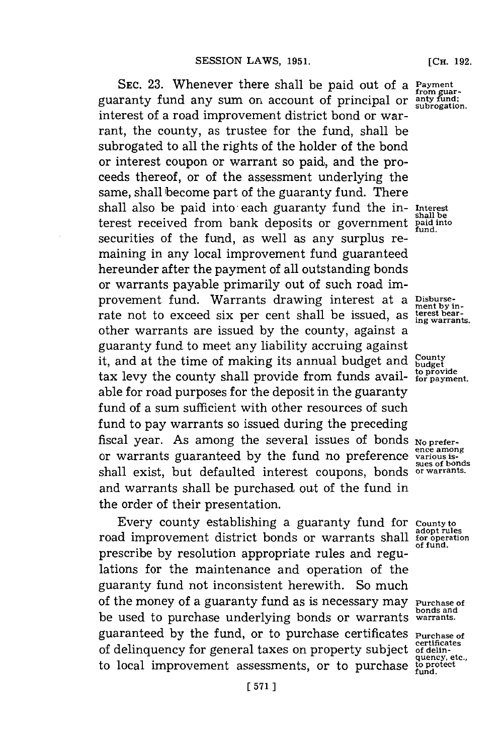**SEC. 23.** Whenever there shall be paid out of a **Payment** guaranty fund any sum on account of principal or **anty fund; subrogation.** interest of a road improvement district bond or warrant, the county, as trustee for the fund, shall be subrogated to all the rights of the holder of the bond or interest coupon or warrant so paid, and the proceeds thereof, or of the assessment underlying the same, shall become part of the guaranty fund. There shall also be paid into each guaranty fund the in- Interest terest received from bank deposits or government **paid into fund.** securities of the fund, as well as any surplus remaining in any local improvement fund guaranteed hereunder after the payment of all outstanding bonds or warrants payable primarily out of such road improvement fund. Warrants drawing interest at a Disburserate not to exceed six per cent shall be issued, as **the article**rities other warrants are issued **by** the county, against a guaranty fund to meet any liability accruing against it, and at the time of making its annual budget and County tax levy the county shall provide from funds avail- for payment. able for road purposes for the deposit in the guaranty fund of a sum sufficient with other resources of such fund to pay warrants so issued during the preceding fiscal year. As among the several issues of bonds No preferor warrants guaranteed by the fund no preference various isshall exist, but defaulted interest coupons, bonds **or warrants.** and warrants shall be purchased out of the fund in the order of their presentation.

Every county establishing a guaranty fund for **County to** road improvement district bonds or warrants shall for operation prescribe **by** resolution appropriate rules and regulations for the maintenance and operation of the guaranty fund not inconsistent herewith. So much of the money of a guaranty **f** und as is necessary may **Purchase of bonds and** be used to purchase underlying bonds or warrants **warrants.** guaranteed by the fund, or to purchase certificates **Purchase of** of delinquency for general taxes on property subject of delin-<br>quency, etc., to local improvement assessments, or to purchase  $\frac{1}{2}$  fund.

**from guar-**

**sues of bonds**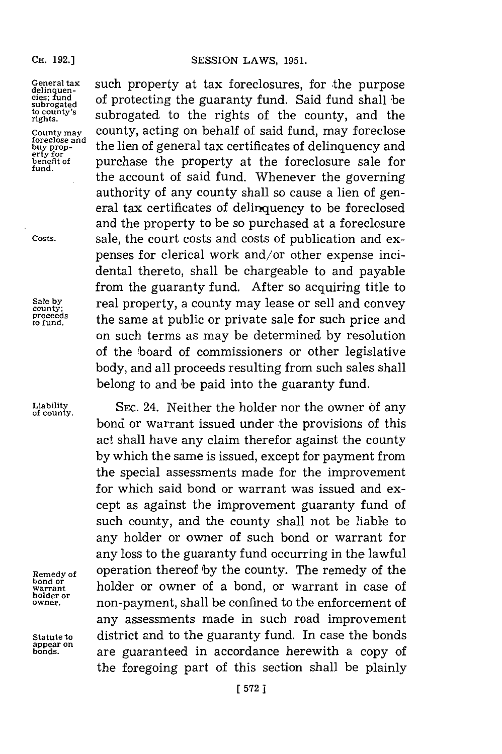## **CH. 192.)**

**foreclose and erty for**

General tax such property at tax foreclosures, for the purpose delinquen-<br>cles; fund<br>subrogated of protecting the guaranty fund. Said fund shall be subrogated to protecting the guaranty rund. Baid rund sharp be<br>to county's subrogated to the rights of the county, and the **County may** county, acting on behalf of said fund, may foreclose **buy prop-** the lien of general tax certificates of delinquency and benefit of purchase the property at the foreclosure sale for the account of said fund. Whenever the governing authority of any county shall so cause a lien of general tax certificates of delinquency to be foreclosed and the property to be so purchased at a foreclosure **Costs,** sale, the court costs and costs of publication and expenses for clerical work and/or other expense incidental thereto, shall be chargeable to and payable from the guaranty fund. After so acquiring title to Sale by **real property, a county may lease or sell and convey**<br>
proceeds the same at public or private sale for such price and<br> **p** fund. the same at public or private sale for such price and on such terms as may be determined **by** resolution of the board of commissioners or other legislative body, and all proceeds resulting from such sales shall belong to and 'be paid into the guaranty fund.

Liability **SEC.** 24. Neither the holder nor the owner of any bond or warrant issued under the provisions of this act shall have any claim therefor against the county **by** which the same is issued, except for payment from the special assessments made for the improvement **for** which said bond or warrant was issued and except as against the improvement guaranty fund of such county, and the county shall not be liable to any holder or owner of such bond or warrant for any loss to the guaranty fund occurring in the lawful **Remedy of operation thereof by the county. The remedy of the bond or bond or**<br>warrant holder or owner of a bond, or warrant in case of <br>holder or **holder or owner,** non-payment, shall be confined to the enforcement of any assessments made in such road improvement **Statute to** district and to the guaranty fund. In case the bonds are guaranteed in accordance herewith a copy of the foregoing part of this section shall be plainly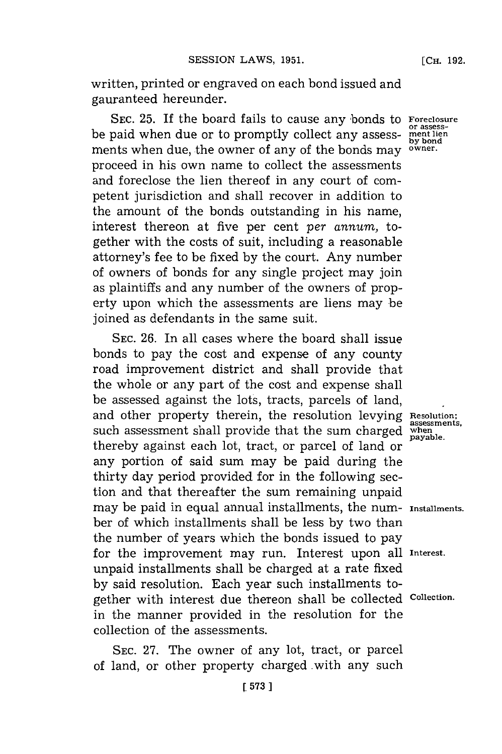written, printed or engraved on each bond issued and gauranteed hereunder.

SEC. 25. If the board fails to cause any bonds to **Foreclosure**<br>or assessbe paid when due or to promptly collect any assess- **ment lien** ments when due, the owner of any of the bonds may **owner.** proceed in his own name to collect the assessments and foreclose the lien thereof in any court of competent jurisdiction and shall recover in addition to the amount of the bonds outstanding in his name, interest thereon at five per cent *per annum,* together with the costs of suit, including a reasonable attorney's **fee** to be fixed **by** the court. Any number of owners of bonds for any single project may join as plaintiffs and any number of the owners of property upon which the assessments are liens may be joined as defendants in the same suit.

**SEC. 26.** In all cases where the board shall issue bonds to pay the cost and expense of any county road improvement district and shall provide that the whole or any part of the cost and expense shall be assessed against the lots, tracts, parcels of land, and other property therein, the resolution levying **Resolution;**<br>assessments. such assessment shall provide that the sum charged when thereby against each lot, tract, or parcel of land or any portion of said sum may be paid during the thirty day period provided for in the following section and that thereafter the sum remaining unpaid may be paid in equal annual installments, the num- **Installments.** ber of which installments shall be less **by** two than the number of years which the bonds issued to pay for the improvement may run. Interest upon all **Interest.** unpaid installments shall be charged at a rate fixed **by** said resolution. Each year such installments together with interest due thereon shall be collected **collection.** in the manner provided in the resolution for the collection of the assessments.

**SEC. 27.** The owner of any lot, tract, or parcel of land, or other property charged with any such

**by bond**

payable.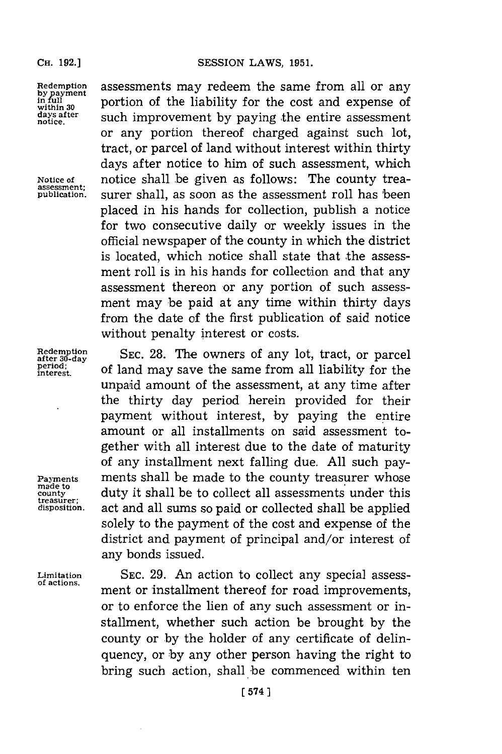**assessment;**

**treasurer;**

**Redemption** assessments may redeem the same from all or any *payment* nortion of the liability for the cost and expense of **in full in full in full portion** of the liability for the cost and expense of days after such improvement by paying the entire assessment within 30 **portion of the hability for the cost and expense of**<br>days after **such improvement by paying the entire assessment** or any portion thereof charged against such lot, tract, or parcel of land without interest within thirty days after notice to him of such assessment, which **Notice of** notice shall be given as follows: The county treasurer shall, as soon as the assessment roll has been placed in his hands for collection, publish a notice for two consecutive daily or weekly issues in the official newspaper of the county in which the district is located, which notice shall state that the assessment roll is in his hands for collection and that any assessment thereon or any portion of such assessment may be paid at any time within thirty days from the date of the first publication of said notice without penalty interest or costs.

**Redemption** SEC. 28. The owners of any lot, tract, or parcel period; of land may save the same from all liability for the **period;** o admysv h aefo l **interest.** ofln a aetesm rmalliability for the unpaid amount of the assessment, at any time after the thirty day period herein provided for their payment without interest, by paying the entire amount or all installments on said assessment together with all interest due to the date of maturity of any installment next falling due. **All** such pay-**Payments ments shall be made to the county treasurer whose county** duty it shall be to collect all assessments under this **disposition,** act and all sums so paid or collected shall be applied solely to the payment of the cost and expense of the district and payment of principal and/or interest of any bonds issued.

**Limitation SEC. 29.** An action to collect any special assessment or installment thereof for road improvements, or to enforce the lien of any such assessment or installment, whether such action be brought **by** the county or **by** the holder of any certificate of delinquency, or **by** any other person having the right to bring such action, shall be commenced within ten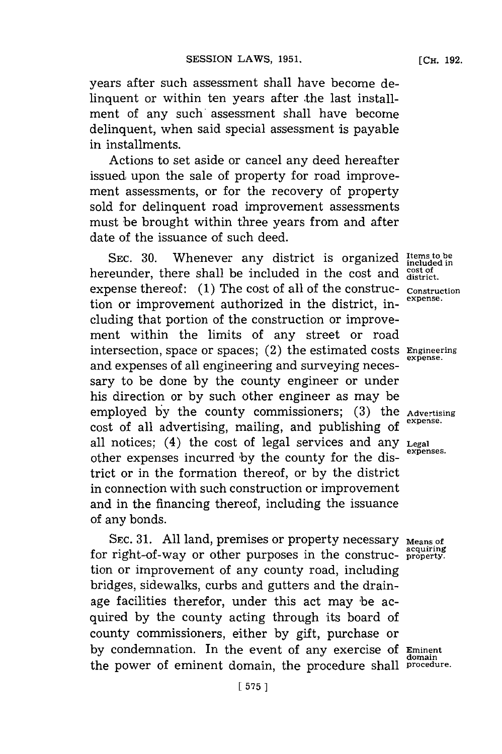years after such assessment shall have become delinquent or within ten years after the last installment of any such assessment shall have become delinquent, when said special assessment is payable in installments.

Actions to set aside or cancel any deed hereafter issued upon the sale of property for road improvement assessments, or for the recovery of property sold for delinquent road improvement assessments must be brought within three years from and after date of the issuance of such deed.

SEC. 30. Whenever any district is organized *Items* to be hereunder, there shall be included in the cost and cost of expense thereof: (1) The cost of all of the construc- **CONSTRUC- CONSTRUC** tion or improvement authorized in the district, including that portion of the construction or improvement within the limits of any street or road intersection, space or spaces; (2) the estimated Costs **Engineering** and expenses of all engineering and surveying necessary to be done **by** the county engineer or under his direction or **by** such other engineer as may be employed by the county commissioners; (3) the **Advertising** cost of all advertising, mailing, and publishing of all notices; (4) the cost of legal services and any **Legal expenses.** other expenses incurred **'by** the county for the district or in the formation thereof, or **by** the district in connection with such construction or improvement and in the financing thereof, including the issuance of any bonds.

SEC. 31. All land, premises or property necessary Means of for right-of-way or other purposes in the construc- **property**. tion or improvement of any county road, including bridges, sidewalks, curbs and gutters and the drainage facilities therefor, under this act may be acquired **by** the county acting through its board of county commissioners, either **by** gift, purchase or by condemnation. In the event of any exercise of Eminent the power of eminent domain, the procedure shall procedure.

**expense.**

**domain**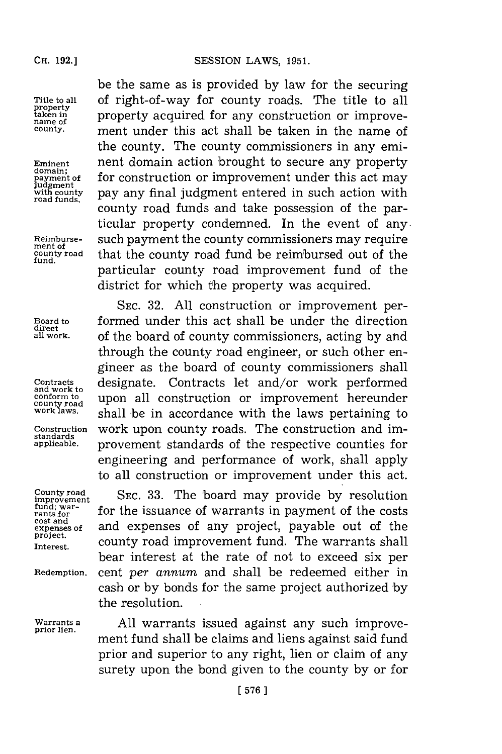**fund.**

**direct**

**standards**

be the same as is provided **by** law for the securing Title to all of right-of-way for county roads. The title to all<br> **The title to all EXECUTE: THE INCOCOLLECT EXECUTE: THE INCOCOLLECT EXECUTE: THE INCOCOLLECT EXECUTE: EXECUTE: EXECUTE: EXECUTE: EXECUT property acquired for any construction or improve-**<br>name of <u>county.</u> **ment under this act shall be taken in the name of** the county. The county commissioners in any emi-**Eminent nent domain action brought to secure any property** domain; payment of for construction or improvement under this act may *judgment* of payment of *payment*  $\frac{1}{\text{rad}}$  pay any final judgment entered in such action with pay any final judgment entered in such action with county road funds and take possession of the particular property condemned. In the event of any. Reimburse-<br>ment of payment the county commissioners may require<br>county road that the county road fund be reimbursed out of the **county road** that the county road fund be reimrbursed out of the particular county road improvement fund of the district for which the property was acquired.

**SEC. 32. All** construction or improvement per-**Board to** formed under this act shall be under the direction **all work,** of the board of county commissioners, acting **by** and through the county road engineer, or such other engineer as the board of county commissioners shall Contracts **designate.** Contracts let and/or work performed<br>and work to **annotation** construction or improvement hereunder conform to upon all construction or improvement hereunder<br>county road work laws.<br>work laws, shall be in accordance with the laws portaining to shall be in accordance with the laws pertaining to Construction work upon county roads. The construction and improvement standards of the respective counties for engineering and performance of work, shall apply to all construction or improvement under this act.

**County road County road SEC. 33.** The board may provide by resolution fund; war-<br> **rants for for the issuance of warrants in payment of the costs cost and <b>expenses** of any project, payable out of the **expenses of** and expenses of any project, payable out of the **project**, **project**, **on** Interest. **COULCA** county road improvement fund. The warrants shall bear interest at the rate of not to exceed six per **Redemptiun.** cent *per annum* and shall be redeemed either in cash or **by** bonds for the same project authorized **by** the resolution.

**Wa rrants a All** warrants issued against any such improve- **prior lien.** ment fund shall be claims and liens against said fund prior and superior to any right, lien or claim of any surety upon the bond given to the county **by** or for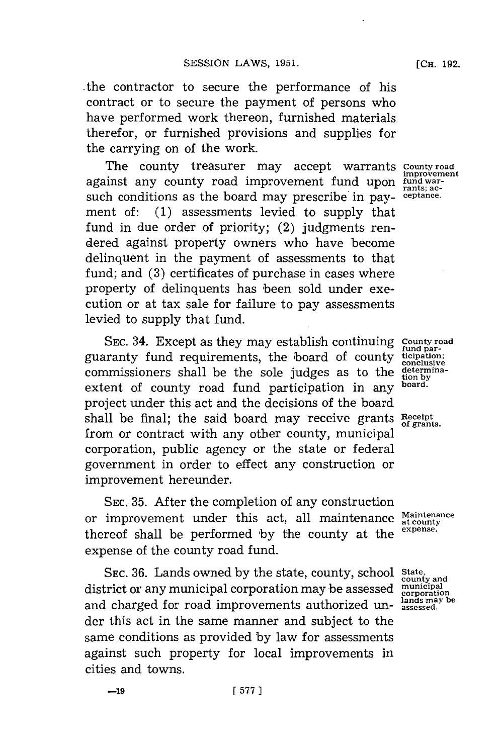-the contractor to secure the performance of his contract or to secure the payment of persons who have performed work thereon, furnished materials therefor, or furnished provisions and supplies for the carrying on of the work.

The county treasurer may accept warrants **County road** against any county road improvement fund upon fund against acsuch conditions as the board may prescribe in payment of: **(1)** assessments levied to supply that fund in due order of priority; (2) judgments rendered against property owners who have become delinquent in the payment of assessments to that fund; and (3) certificates of purchase in cases where property of delinquents has 'been sold under execution or at tax sale for failure to pay assessments levied to supply that fund.

SEC. 34. Except as they may establish continuing County road **fund par-** guaranty fund requirements, the board of county **ticipation;** commissioners shall be the sole judges as to the determinaextent of county road fund participation in any **board**. project under this act and the decisions of the board shall be final; the said board may receive grants **Receipt of grants.** from or contract with any other county, municipal corporation, public agency or the state or federal government in order to effect any construction or improvement hereunder.

**SEC. 35.** After the completion of any construction or improvement under this act, all maintenance Maintenance thereof shall be performed by the county at the <sup>expense.</sup> expense of the county road fund.

**SEC. 36.** Lands owned **by** the state, county, school **State,** district or any municipal corporation may be assessed municipal district of any maincipal corporation may be assessed corporation<br>and charged for road improvements authorized under this act in the same manner and subject to the same conditions as provided **by** law for assessments against such property for local improvements in cities and towns.

**[CH. 192.**

**county and**